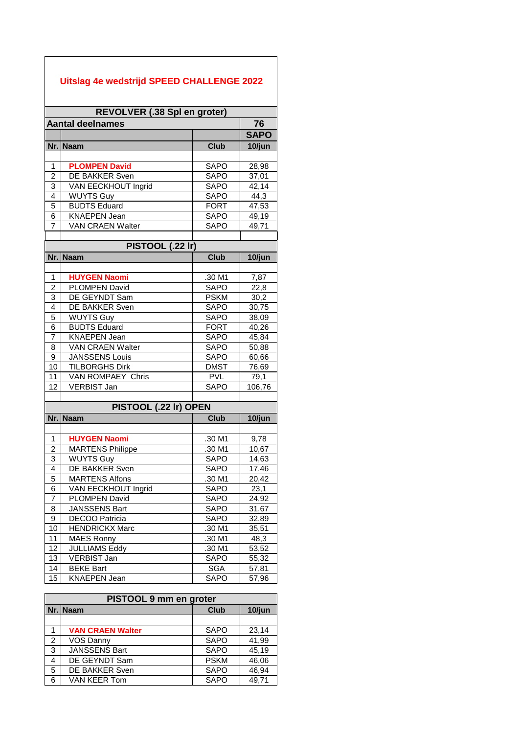## **Uitslag 4e wedstrijd SPEED CHALLENGE 2022**

| REVOLVER (.38 Spl en groter) |                         |             |             |  |  |  |
|------------------------------|-------------------------|-------------|-------------|--|--|--|
|                              | <b>Aantal deelnames</b> |             | 76          |  |  |  |
|                              |                         |             | <b>SAPO</b> |  |  |  |
| Nr.                          | <b>Naam</b>             | <b>Club</b> | 10/jun      |  |  |  |
|                              |                         |             |             |  |  |  |
| 1                            | <b>PLOMPEN David</b>    | <b>SAPO</b> | 28,98       |  |  |  |
| $\overline{2}$               | DE BAKKER Sven          | <b>SAPO</b> | 37,01       |  |  |  |
| 3                            | VAN EECKHOUT Ingrid     | <b>SAPO</b> | 42,14       |  |  |  |
| $\overline{4}$               | <b>WUYTS Guy</b>        | <b>SAPO</b> | 44,3        |  |  |  |
| 5                            | <b>BUDTS Eduard</b>     | <b>FORT</b> | 47,53       |  |  |  |
| 6                            | <b>KNAEPEN Jean</b>     | <b>SAPO</b> | 49,19       |  |  |  |
| 7                            | <b>VAN CRAEN Walter</b> | <b>SAPO</b> | 49,71       |  |  |  |
|                              |                         |             |             |  |  |  |
| PISTOOL (.22 Ir)             |                         |             |             |  |  |  |
|                              | Nr. Naam                | <b>Club</b> | 10/jun      |  |  |  |
|                              |                         |             |             |  |  |  |
| $\mathbf{1}$                 | <b>HUYGEN Naomi</b>     | .30 M1      | 7,87        |  |  |  |
| $\overline{c}$               | PLOMPEN David           | <b>SAPO</b> | 22,8        |  |  |  |
| 3                            | DE GEYNDT Sam           | <b>PSKM</b> | 30,2        |  |  |  |
| $\overline{4}$               | <b>DE BAKKER Sven</b>   | <b>SAPO</b> | 30,75       |  |  |  |
| 5                            | <b>WUYTS Guy</b>        | <b>SAPO</b> | 38,09       |  |  |  |
| $\overline{6}$               | <b>BUDTS Eduard</b>     | <b>FORT</b> | 40,26       |  |  |  |
| $\overline{7}$               | <b>KNAEPEN Jean</b>     | <b>SAPO</b> | 45,84       |  |  |  |
| 8                            | VAN CRAEN Walter        | <b>SAPO</b> | 50,88       |  |  |  |
| 9                            | <b>JANSSENS Louis</b>   | <b>SAPO</b> | 60,66       |  |  |  |
| 10                           | <b>TILBORGHS Dirk</b>   | <b>DMST</b> | 76,69       |  |  |  |
| 11                           | VAN ROMPAEY Chris       | <b>PVL</b>  | 79,1        |  |  |  |
| 12                           | <b>VERBIST Jan</b>      | <b>SAPO</b> | 106,76      |  |  |  |
|                              |                         |             |             |  |  |  |
|                              | PISTOOL (.22 Ir) OPEN   |             |             |  |  |  |
| Nr.                          | <b>Naam</b>             | <b>Club</b> | 10/jun      |  |  |  |
|                              |                         |             |             |  |  |  |
| 1                            | <b>HUYGEN Naomi</b>     | .30 M1      | 9,78        |  |  |  |
| $\overline{2}$               | <b>MARTENS Philippe</b> | .30 M1      | 10,67       |  |  |  |
| 3                            | <b>WUYTS Guy</b>        | <b>SAPO</b> | 14,63       |  |  |  |
| 4                            | DE BAKKER Sven          | <b>SAPO</b> | 17,46       |  |  |  |
| 5                            | <b>MARTENS Alfons</b>   | .30 M1      | 20,42       |  |  |  |
| 6                            | VAN EECKHOUT Ingrid     | <b>SAPO</b> | 23,1        |  |  |  |
| 7                            | <b>PLOMPEN David</b>    | <b>SAPO</b> | 24,92       |  |  |  |
| 8                            | JANSSENS Bart           | <b>SAPO</b> | 31,67       |  |  |  |
| 9                            | <b>DECOO Patricia</b>   | SAPO        | 32,89       |  |  |  |
| 10                           | <b>HENDRICKX Marc</b>   | .30 M1      | 35,51       |  |  |  |
| 11                           | <b>MAES Ronny</b>       | .30 M1      | 48,3        |  |  |  |
| 12                           | <b>JULLIAMS Eddy</b>    | .30 M1      | 53,52       |  |  |  |
| 13                           | <b>VERBIST Jan</b>      | SAPO        | 55,32       |  |  |  |
| 14                           | <b>BEKE Bart</b>        | <b>SGA</b>  | 57,81       |  |  |  |
| 15                           | <b>KNAEPEN Jean</b>     | <b>SAPO</b> | 57,96       |  |  |  |

| PISTOOL 9 mm en groter |                         |             |        |  |  |
|------------------------|-------------------------|-------------|--------|--|--|
|                        | Nr. Naam                | <b>Club</b> | 10/jun |  |  |
|                        |                         |             |        |  |  |
| 1                      | <b>VAN CRAEN Walter</b> | <b>SAPO</b> | 23,14  |  |  |
| 2                      | <b>VOS Danny</b>        | <b>SAPO</b> | 41,99  |  |  |
| 3                      | <b>JANSSENS Bart</b>    | <b>SAPO</b> | 45,19  |  |  |
| 4                      | DE GEYNDT Sam           | <b>PSKM</b> | 46,06  |  |  |
| 5                      | DE BAKKER Sven          | <b>SAPO</b> | 46,94  |  |  |
| 6                      | VAN KEER Tom            | <b>SAPO</b> | 49.71  |  |  |